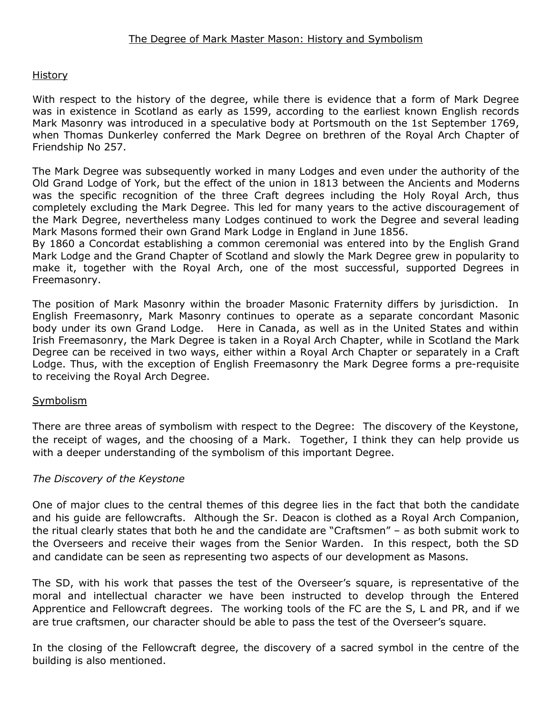#### **History**

With respect to the history of the degree, while there is evidence that a form of Mark Degree was in existence in Scotland as early as 1599, according to the earliest known English records Mark Masonry was introduced in a speculative body at Portsmouth on the 1st September 1769, when Thomas Dunkerley conferred the Mark Degree on brethren of the Royal Arch Chapter of Friendship No 257.

The Mark Degree was subsequently worked in many Lodges and even under the authority of the Old Grand Lodge of York, but the effect of the union in 1813 between the Ancients and Moderns was the specific recognition of the three Craft degrees including the Holy Royal Arch, thus completely excluding the Mark Degree. This led for many years to the active discouragement of the Mark Degree, nevertheless many Lodges continued to work the Degree and several leading Mark Masons formed their own Grand Mark Lodge in England in June 1856.

By 1860 a Concordat establishing a common ceremonial was entered into by the English Grand Mark Lodge and the Grand Chapter of Scotland and slowly the Mark Degree grew in popularity to make it, together with the Royal Arch, one of the most successful, supported Degrees in Freemasonry.

The position of Mark Masonry within the broader Masonic Fraternity differs by jurisdiction. In English Freemasonry, Mark Masonry continues to operate as a separate concordant Masonic body under its own Grand Lodge. Here in Canada, as well as in the United States and within Irish Freemasonry, the Mark Degree is taken in a Royal Arch Chapter, while in Scotland the Mark Degree can be received in two ways, either within a Royal Arch Chapter or separately in a Craft Lodge. Thus, with the exception of English Freemasonry the Mark Degree forms a pre-requisite to receiving the Royal Arch Degree.

#### **Symbolism**

There are three areas of symbolism with respect to the Degree: The discovery of the Keystone, the receipt of wages, and the choosing of a Mark. Together, I think they can help provide us with a deeper understanding of the symbolism of this important Degree.

## *The Discovery of the Keystone*

One of major clues to the central themes of this degree lies in the fact that both the candidate and his guide are fellowcrafts. Although the Sr. Deacon is clothed as a Royal Arch Companion, the ritual clearly states that both he and the candidate are "Craftsmen" – as both submit work to the Overseers and receive their wages from the Senior Warden. In this respect, both the SD and candidate can be seen as representing two aspects of our development as Masons.

The SD, with his work that passes the test of the Overseer's square, is representative of the moral and intellectual character we have been instructed to develop through the Entered Apprentice and Fellowcraft degrees. The working tools of the FC are the S, L and PR, and if we are true craftsmen, our character should be able to pass the test of the Overseer's square.

In the closing of the Fellowcraft degree, the discovery of a sacred symbol in the centre of the building is also mentioned.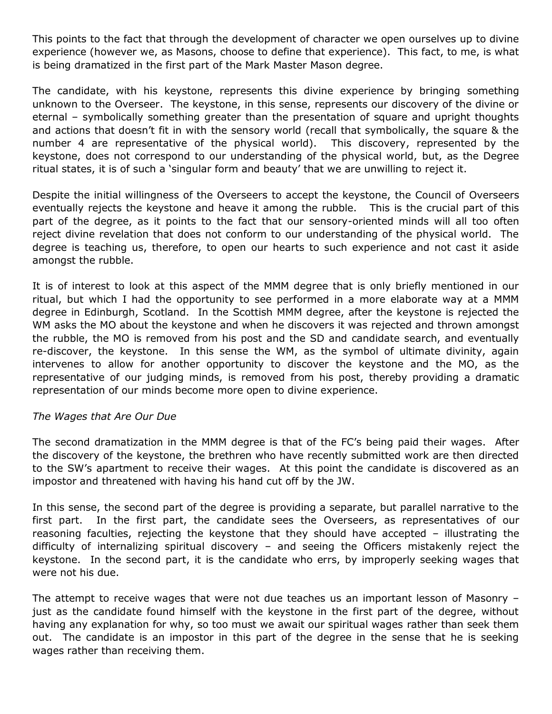This points to the fact that through the development of character we open ourselves up to divine experience (however we, as Masons, choose to define that experience). This fact, to me, is what is being dramatized in the first part of the Mark Master Mason degree.

The candidate, with his keystone, represents this divine experience by bringing something unknown to the Overseer. The keystone, in this sense, represents our discovery of the divine or eternal – symbolically something greater than the presentation of square and upright thoughts and actions that doesn't fit in with the sensory world (recall that symbolically, the square & the number 4 are representative of the physical world). This discovery, represented by the keystone, does not correspond to our understanding of the physical world, but, as the Degree ritual states, it is of such a 'singular form and beauty' that we are unwilling to reject it.

Despite the initial willingness of the Overseers to accept the keystone, the Council of Overseers eventually rejects the keystone and heave it among the rubble. This is the crucial part of this part of the degree, as it points to the fact that our sensory-oriented minds will all too often reject divine revelation that does not conform to our understanding of the physical world. The degree is teaching us, therefore, to open our hearts to such experience and not cast it aside amongst the rubble.

It is of interest to look at this aspect of the MMM degree that is only briefly mentioned in our ritual, but which I had the opportunity to see performed in a more elaborate way at a MMM degree in Edinburgh, Scotland. In the Scottish MMM degree, after the keystone is rejected the WM asks the MO about the keystone and when he discovers it was rejected and thrown amongst the rubble, the MO is removed from his post and the SD and candidate search, and eventually re-discover, the keystone. In this sense the WM, as the symbol of ultimate divinity, again intervenes to allow for another opportunity to discover the keystone and the MO, as the representative of our judging minds, is removed from his post, thereby providing a dramatic representation of our minds become more open to divine experience.

## *The Wages that Are Our Due*

The second dramatization in the MMM degree is that of the FC's being paid their wages. After the discovery of the keystone, the brethren who have recently submitted work are then directed to the SW's apartment to receive their wages. At this point the candidate is discovered as an impostor and threatened with having his hand cut off by the JW.

In this sense, the second part of the degree is providing a separate, but parallel narrative to the first part. In the first part, the candidate sees the Overseers, as representatives of our reasoning faculties, rejecting the keystone that they should have accepted – illustrating the difficulty of internalizing spiritual discovery – and seeing the Officers mistakenly reject the keystone. In the second part, it is the candidate who errs, by improperly seeking wages that were not his due.

The attempt to receive wages that were not due teaches us an important lesson of Masonry – just as the candidate found himself with the keystone in the first part of the degree, without having any explanation for why, so too must we await our spiritual wages rather than seek them out. The candidate is an impostor in this part of the degree in the sense that he is seeking wages rather than receiving them.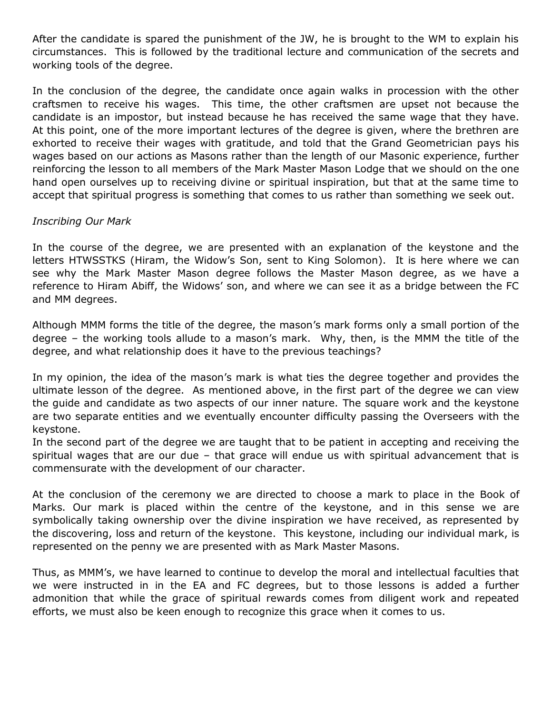After the candidate is spared the punishment of the JW, he is brought to the WM to explain his circumstances. This is followed by the traditional lecture and communication of the secrets and working tools of the degree.

In the conclusion of the degree, the candidate once again walks in procession with the other craftsmen to receive his wages. This time, the other craftsmen are upset not because the candidate is an impostor, but instead because he has received the same wage that they have. At this point, one of the more important lectures of the degree is given, where the brethren are exhorted to receive their wages with gratitude, and told that the Grand Geometrician pays his wages based on our actions as Masons rather than the length of our Masonic experience, further reinforcing the lesson to all members of the Mark Master Mason Lodge that we should on the one hand open ourselves up to receiving divine or spiritual inspiration, but that at the same time to accept that spiritual progress is something that comes to us rather than something we seek out.

# *Inscribing Our Mark*

In the course of the degree, we are presented with an explanation of the keystone and the letters HTWSSTKS (Hiram, the Widow's Son, sent to King Solomon). It is here where we can see why the Mark Master Mason degree follows the Master Mason degree, as we have a reference to Hiram Abiff, the Widows' son, and where we can see it as a bridge between the FC and MM degrees.

Although MMM forms the title of the degree, the mason's mark forms only a small portion of the degree – the working tools allude to a mason's mark. Why, then, is the MMM the title of the degree, and what relationship does it have to the previous teachings?

In my opinion, the idea of the mason's mark is what ties the degree together and provides the ultimate lesson of the degree. As mentioned above, in the first part of the degree we can view the guide and candidate as two aspects of our inner nature. The square work and the keystone are two separate entities and we eventually encounter difficulty passing the Overseers with the keystone.

In the second part of the degree we are taught that to be patient in accepting and receiving the spiritual wages that are our due – that grace will endue us with spiritual advancement that is commensurate with the development of our character.

At the conclusion of the ceremony we are directed to choose a mark to place in the Book of Marks. Our mark is placed within the centre of the keystone, and in this sense we are symbolically taking ownership over the divine inspiration we have received, as represented by the discovering, loss and return of the keystone. This keystone, including our individual mark, is represented on the penny we are presented with as Mark Master Masons.

Thus, as MMM's, we have learned to continue to develop the moral and intellectual faculties that we were instructed in in the EA and FC degrees, but to those lessons is added a further admonition that while the grace of spiritual rewards comes from diligent work and repeated efforts, we must also be keen enough to recognize this grace when it comes to us.